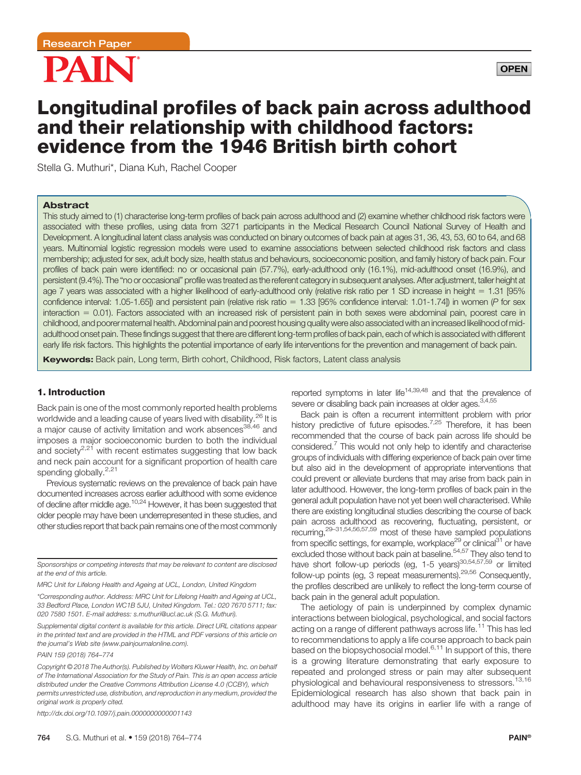



# Longitudinal profiles of back pain across adulthood and their relationship with childhood factors: evidence from the 1946 British birth cohort

Stella G. Muthuri\*, Diana Kuh, Rachel Cooper

#### Abstract

This study aimed to (1) characterise long-term profiles of back pain across adulthood and (2) examine whether childhood risk factors were associated with these profiles, using data from 3271 participants in the Medical Research Council National Survey of Health and Development. A longitudinal latent class analysis was conducted on binary outcomes of back pain at ages 31, 36, 43, 53, 60 to 64, and 68 years. Multinomial logistic regression models were used to examine associations between selected childhood risk factors and class membership; adjusted for sex, adult body size, health status and behaviours, socioeconomic position, and family history of back pain. Four profiles of back pain were identified: no or occasional pain (57.7%), early-adulthood only (16.1%), mid-adulthood onset (16.9%), and persistent (9.4%). The "no or occasional" profile was treated as the referent category in subsequent analyses. After adjustment, taller height at age 7 years was associated with a higher likelihood of early-adulthood only (relative risk ratio per 1 SD increase in height = 1.31 [95% confidence interval: 1.05-1.65]) and persistent pain (relative risk ratio = 1.33 [95% confidence interval: 1.01-1.74]) in women (P for sex interaction = 0.01). Factors associated with an increased risk of persistent pain in both sexes were abdominal pain, poorest care in childhood, and poorermaternal health. Abdominal pain and poorest housing quality were also associated with an increased likelihood of midadulthood onset pain. These findings suggest that there are different long-term profiles of back pain, each of which is associated with different early life risk factors. This highlights the potential importance of early life interventions for the prevention and management of back pain.

Keywords: Back pain, Long term, Birth cohort, Childhood, Risk factors, Latent class analysis

#### 1. Introduction

Back pain is one of the most commonly reported health problems worldwide and a leading cause of years lived with disability.<sup>26</sup> It is a major cause of activity limitation and work absences<sup>38,46</sup> and imposes a major socioeconomic burden to both the individual and society $2.21$  with recent estimates suggesting that low back and neck pain account for a significant proportion of health care spending globally.<sup>2,21</sup>

Previous systematic reviews on the prevalence of back pain have documented increases across earlier adulthood with some evidence of decline after middle age.<sup>10,24</sup> However, it has been suggested that older people may have been underrepresented in these studies, and other studies report that back pain remains one of the most commonly

Sponsorships or competing interests that may be relevant to content are disclosed at the end of this article.

MRC Unit for Lifelong Health and Ageing at UCL, London, United Kingdom

\*Corresponding author. Address: MRC Unit for Lifelong Health and Ageing at UCL, 33 Bedford Place, London WC1B 5JU, United Kingdom. Tel.: 020 7670 5711; fax: 020 7580 1501. E-mail address: [s.muthuri@ucl.ac.uk](mailto:s.muthuri@ucl.ac.uk) (S.G. Muthuri).

Supplemental digital content is available for this article. Direct URL citations appear in the printed text and are provided in the HTML and PDF versions of this article on the journal's Web site [\(www.painjournalonline.com](http://www.painjournalonline.com)).

PAIN 159 (2018) 764–774

<http://dx.doi.org/10.1097/j.pain.0000000000001143>

reported symptoms in later life<sup>14,39,48</sup> and that the prevalence of severe or disabling back pain increases at older ages.<sup>3,4,55</sup>

Back pain is often a recurrent intermittent problem with prior history predictive of future episodes.<sup>7,25</sup> Therefore, it has been recommended that the course of back pain across life should be considered.7 This would not only help to identify and characterise groups of individuals with differing experience of back pain over time but also aid in the development of appropriate interventions that could prevent or alleviate burdens that may arise from back pain in later adulthood. However, the long-term profiles of back pain in the general adult population have not yet been well characterised. While there are existing longitudinal studies describing the course of back pain across adulthood as recovering, fluctuating, persistent, or recurring,29–31,54,56,57,59 most of these have sampled populations from specific settings, for example, workplace<sup>29</sup> or clinical<sup>31</sup> or have excluded those without back pain at baseline.<sup>54,57</sup> They also tend to have short follow-up periods (eg,  $1-5$  years) $^{30,54,57,59}$  or limited follow-up points (eg, 3 repeat measurements).29,56 Consequently, the profiles described are unlikely to reflect the long-term course of back pain in the general adult population.

The aetiology of pain is underpinned by complex dynamic interactions between biological, psychological, and social factors acting on a range of different pathways across life.<sup>11</sup> This has led to recommendations to apply a life course approach to back pain based on the biopsychosocial model. $6,11$  In support of this, there is a growing literature demonstrating that early exposure to repeated and prolonged stress or pain may alter subsequent physiological and behavioural responsiveness to stressors.<sup>13,16</sup> Epidemiological research has also shown that back pain in adulthood may have its origins in earlier life with a range of

Copyright © 2018 The Author(s). Published by Wolters Kluwer Health, Inc. on behalf of The International Association for the Study of Pain. This is an open access article distributed under the [Creative Commons Attribution License 4.0 \(CCBY\)](http://creativecommons.org/licenses/by/4.0/), which permits unrestricted use, distribution, and reproduction in any medium, provided the original work is properly cited.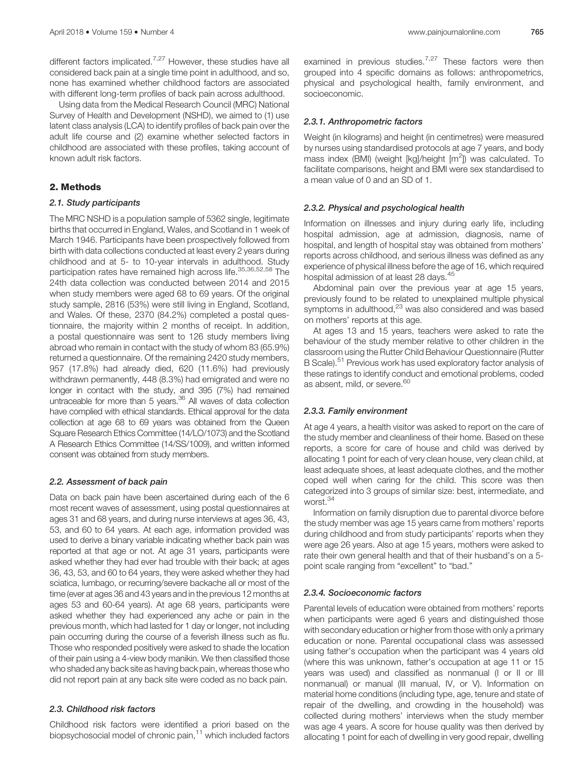different factors implicated.<sup>7,27</sup> However, these studies have all considered back pain at a single time point in adulthood, and so, none has examined whether childhood factors are associated with different long-term profiles of back pain across adulthood.

Using data from the Medical Research Council (MRC) National Survey of Health and Development (NSHD), we aimed to (1) use latent class analysis (LCA) to identify profiles of back pain over the adult life course and (2) examine whether selected factors in childhood are associated with these profiles, taking account of known adult risk factors.

#### 2. Methods

#### 2.1. Study participants

The MRC NSHD is a population sample of 5362 single, legitimate births that occurred in England, Wales, and Scotland in 1 week of March 1946. Participants have been prospectively followed from birth with data collections conducted at least every 2 years during childhood and at 5- to 10-year intervals in adulthood. Study participation rates have remained high across life.<sup>35,36,52,58</sup> The 24th data collection was conducted between 2014 and 2015 when study members were aged 68 to 69 years. Of the original study sample, 2816 (53%) were still living in England, Scotland, and Wales. Of these, 2370 (84.2%) completed a postal questionnaire, the majority within 2 months of receipt. In addition, a postal questionnaire was sent to 126 study members living abroad who remain in contact with the study of whom 83 (65.9%) returned a questionnaire. Of the remaining 2420 study members, 957 (17.8%) had already died, 620 (11.6%) had previously withdrawn permanently, 448 (8.3%) had emigrated and were no longer in contact with the study, and 395 (7%) had remained untraceable for more than 5 years.<sup>36</sup> All waves of data collection have complied with ethical standards. Ethical approval for the data collection at age 68 to 69 years was obtained from the Queen Square Research Ethics Committee (14/LO/1073) and the Scotland A Research Ethics Committee (14/SS/1009), and written informed consent was obtained from study members.

#### 2.2. Assessment of back pain

Data on back pain have been ascertained during each of the 6 most recent waves of assessment, using postal questionnaires at ages 31 and 68 years, and during nurse interviews at ages 36, 43, 53, and 60 to 64 years. At each age, information provided was used to derive a binary variable indicating whether back pain was reported at that age or not. At age 31 years, participants were asked whether they had ever had trouble with their back; at ages 36, 43, 53, and 60 to 64 years, they were asked whether they had sciatica, lumbago, or recurring/severe backache all or most of the time (ever at ages 36 and 43 years and in the previous 12 months at ages 53 and 60-64 years). At age 68 years, participants were asked whether they had experienced any ache or pain in the previous month, which had lasted for 1 day or longer, not including pain occurring during the course of a feverish illness such as flu. Those who responded positively were asked to shade the location of their pain using a 4-view body manikin. We then classified those who shaded any back site as having back pain, whereas those who did not report pain at any back site were coded as no back pain.

#### 2.3. Childhood risk factors

Childhood risk factors were identified a priori based on the biopsychosocial model of chronic pain,<sup>11</sup> which included factors examined in previous studies.<sup>7,27</sup> These factors were then grouped into 4 specific domains as follows: anthropometrics, physical and psychological health, family environment, and socioeconomic.

#### 2.3.1. Anthropometric factors

Weight (in kilograms) and height (in centimetres) were measured by nurses using standardised protocols at age 7 years, and body mass index (BMI) (weight [kg]/height [m<sup>2</sup>]) was calculated. To facilitate comparisons, height and BMI were sex standardised to a mean value of 0 and an SD of 1.

#### 2.3.2. Physical and psychological health

Information on illnesses and injury during early life, including hospital admission, age at admission, diagnosis, name of hospital, and length of hospital stay was obtained from mothers' reports across childhood, and serious illness was defined as any experience of physical illness before the age of 16, which required hospital admission of at least 28 days.<sup>45</sup>

Abdominal pain over the previous year at age 15 years, previously found to be related to unexplained multiple physical symptoms in adulthood,<sup>23</sup> was also considered and was based on mothers' reports at this age.

At ages 13 and 15 years, teachers were asked to rate the behaviour of the study member relative to other children in the classroom using the Rutter Child Behaviour Questionnaire (Rutter B Scale).<sup>51</sup> Previous work has used exploratory factor analysis of these ratings to identify conduct and emotional problems, coded as absent, mild, or severe.<sup>60</sup>

#### 2.3.3. Family environment

At age 4 years, a health visitor was asked to report on the care of the study member and cleanliness of their home. Based on these reports, a score for care of house and child was derived by allocating 1 point for each of very clean house, very clean child, at least adequate shoes, at least adequate clothes, and the mother coped well when caring for the child. This score was then categorized into 3 groups of similar size: best, intermediate, and worst.<sup>34</sup>

Information on family disruption due to parental divorce before the study member was age 15 years came from mothers' reports during childhood and from study participants' reports when they were age 26 years. Also at age 15 years, mothers were asked to rate their own general health and that of their husband's on a 5 point scale ranging from "excellent" to "bad."

#### 2.3.4. Socioeconomic factors

Parental levels of education were obtained from mothers' reports when participants were aged 6 years and distinguished those with secondary education or higher from those with only a primary education or none. Parental occupational class was assessed using father's occupation when the participant was 4 years old (where this was unknown, father's occupation at age 11 or 15 years was used) and classified as nonmanual (I or II or III nonmanual) or manual (III manual, IV, or V). Information on material home conditions (including type, age, tenure and state of repair of the dwelling, and crowding in the household) was collected during mothers' interviews when the study member was age 4 years. A score for house quality was then derived by allocating 1 point for each of dwelling in very good repair, dwelling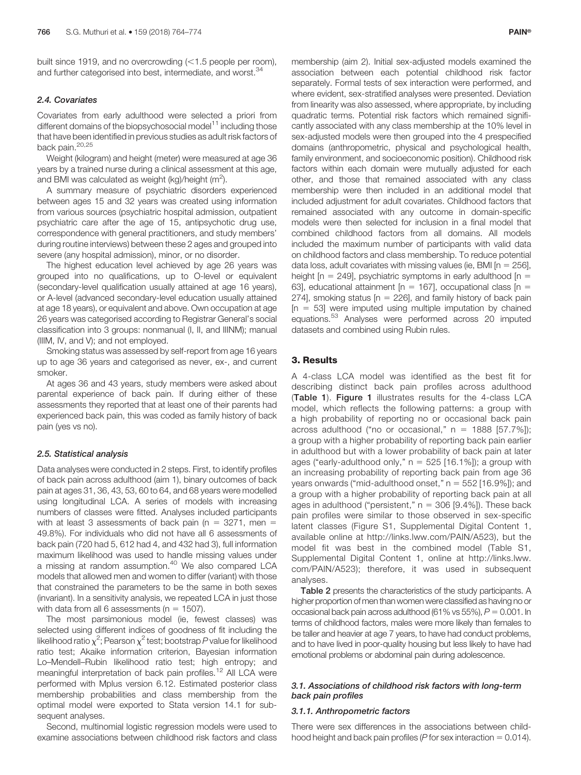built since 1919, and no overcrowding  $(<1.5$  people per room), and further categorised into best, intermediate, and worst.<sup>34</sup>

#### 2.4. Covariates

Covariates from early adulthood were selected a priori from different domains of the biopsychosocial model $11$  including those that have been identified in previous studies as adult risk factors of back pain.<sup>20,25</sup>

Weight (kilogram) and height (meter) were measured at age 36 years by a trained nurse during a clinical assessment at this age, and BMI was calculated as weight (kg)/height (m<sup>2</sup>).

A summary measure of psychiatric disorders experienced between ages 15 and 32 years was created using information from various sources (psychiatric hospital admission, outpatient psychiatric care after the age of 15, antipsychotic drug use, correspondence with general practitioners, and study members' during routine interviews) between these 2 ages and grouped into severe (any hospital admission), minor, or no disorder.

The highest education level achieved by age 26 years was grouped into no qualifications, up to O-level or equivalent (secondary-level qualification usually attained at age 16 years), or A-level (advanced secondary-level education usually attained at age 18 years), or equivalent and above. Own occupation at age 26 years was categorised according to Registrar General's social classification into 3 groups: nonmanual (I, II, and IIINM); manual (IIIM, IV, and V); and not employed.

Smoking status was assessed by self-report from age 16 years up to age 36 years and categorised as never, ex-, and current smoker.

At ages 36 and 43 years, study members were asked about parental experience of back pain. If during either of these assessments they reported that at least one of their parents had experienced back pain, this was coded as family history of back pain (yes vs no).

#### 2.5. Statistical analysis

Data analyses were conducted in 2 steps. First, to identify profiles of back pain across adulthood (aim 1), binary outcomes of back pain at ages 31, 36, 43, 53, 60 to 64, and 68 years were modelled using longitudinal LCA. A series of models with increasing numbers of classes were fitted. Analyses included participants with at least 3 assessments of back pain ( $n = 3271$ , men = 49.8%). For individuals who did not have all 6 assessments of back pain (720 had 5, 612 had 4, and 432 had 3), full information maximum likelihood was used to handle missing values under a missing at random assumption.<sup>40</sup> We also compared LCA models that allowed men and women to differ (variant) with those that constrained the parameters to be the same in both sexes (invariant). In a sensitivity analysis, we repeated LCA in just those with data from all 6 assessments ( $n = 1507$ ).

The most parsimonious model (ie, fewest classes) was selected using different indices of goodness of fit including the likelihood ratio  $\chi^2$ ; Pearson  $\chi^2$  test; bootstrap P value for likelihood ratio test; Akaike information criterion, Bayesian information Lo–Mendell–Rubin likelihood ratio test; high entropy; and meaningful interpretation of back pain profiles.<sup>12</sup> All LCA were performed with Mplus version 6.12. Estimated posterior class membership probabilities and class membership from the optimal model were exported to Stata version 14.1 for subsequent analyses.

Second, multinomial logistic regression models were used to examine associations between childhood risk factors and class

membership (aim 2). Initial sex-adjusted models examined the association between each potential childhood risk factor separately. Formal tests of sex interaction were performed, and where evident, sex-stratified analyses were presented. Deviation from linearity was also assessed, where appropriate, by including quadratic terms. Potential risk factors which remained significantly associated with any class membership at the 10% level in sex-adjusted models were then grouped into the 4 prespecified domains (anthropometric, physical and psychological health, family environment, and socioeconomic position). Childhood risk factors within each domain were mutually adjusted for each other, and those that remained associated with any class membership were then included in an additional model that included adjustment for adult covariates. Childhood factors that remained associated with any outcome in domain-specific models were then selected for inclusion in a final model that combined childhood factors from all domains. All models included the maximum number of participants with valid data on childhood factors and class membership. To reduce potential data loss, adult covariates with missing values (ie, BMI  $[n = 256]$ , height  $[n = 249]$ , psychiatric symptoms in early adulthood  $[n = 16]$ 63], educational attainment  $[n = 167]$ , occupational class  $[n = 167]$ 274], smoking status  $[n = 226]$ , and family history of back pain  $[n = 53]$  were imputed using multiple imputation by chained equations.<sup>53</sup> Analyses were performed across 20 imputed datasets and combined using Rubin rules.

# 3. Results

A 4-class LCA model was identified as the best fit for describing distinct back pain profiles across adulthood (Table 1). Figure 1 illustrates results for the 4-class LCA model, which reflects the following patterns: a group with a high probability of reporting no or occasional back pain across adulthood ("no or occasional,"  $n = 1888$  [57.7%]); a group with a higher probability of reporting back pain earlier in adulthood but with a lower probability of back pain at later ages ("early-adulthood only,"  $n = 525$  [16.1%]); a group with an increasing probability of reporting back pain from age 36 years onwards ("mid-adulthood onset,"  $n = 552$  [16.9%]); and a group with a higher probability of reporting back pain at all ages in adulthood ("persistent,"  $n = 306$  [9.4%]). These back pain profiles were similar to those observed in sex-specific latent classes (Figure S1, Supplemental Digital Content 1, available online at<http://links.lww.com/PAIN/A523>), but the model fit was best in the combined model (Table S1, Supplemental Digital Content 1, online at [http://links.lww.](http://links.lww.com/PAIN/A523) [com/PAIN/A523\)](http://links.lww.com/PAIN/A523); therefore, it was used in subsequent analyses.

Table 2 presents the characteristics of the study participants. A higher proportion of men than women were classified as having no or occasional back pain across adulthood (61% vs 55%),  $P = 0.001$ . In terms of childhood factors, males were more likely than females to be taller and heavier at age 7 years, to have had conduct problems, and to have lived in poor-quality housing but less likely to have had emotional problems or abdominal pain during adolescence.

#### 3.1. Associations of childhood risk factors with long-term back pain profiles

#### 3.1.1. Anthropometric factors

There were sex differences in the associations between childhood height and back pain profiles (P for sex interaction  $= 0.014$ ).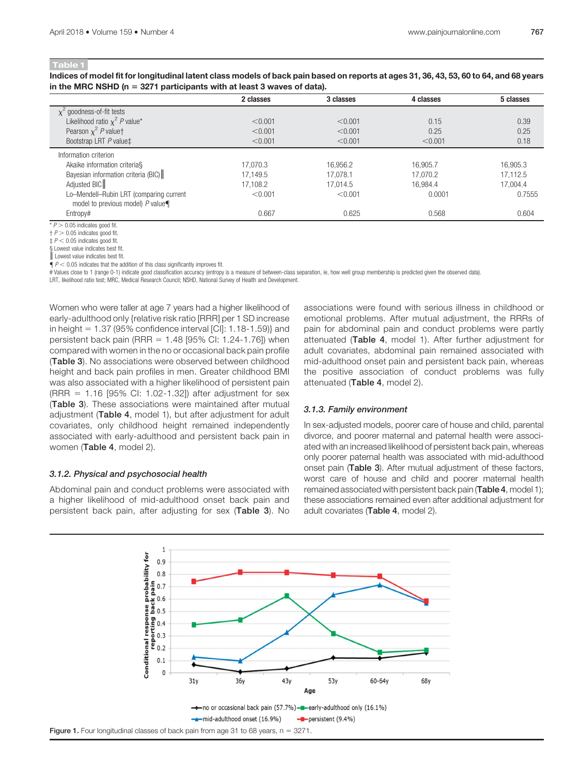Indices of model fit for longitudinal latent class models of back pain based on reports at ages 31, 36, 43, 53, 60 to 64, and 68 years in the MRC NSHD ( $n = 3271$  participants with at least 3 waves of data).

|                                         | 2 classes | 3 classes | 4 classes | 5 classes |
|-----------------------------------------|-----------|-----------|-----------|-----------|
| $\chi^2$ goodness-of-fit tests          |           |           |           |           |
| Likelihood ratio $\chi^2$ P value*      | < 0.001   | < 0.001   | 0.15      | 0.39      |
| Pearson $\chi^2$ P valuet               | < 0.001   | < 0.001   | 0.25      | 0.25      |
| Bootstrap LRT P value‡                  | < 0.001   | < 0.001   | < 0.001   | 0.18      |
| Information criterion                   |           |           |           |           |
| Akaike information criterias            | 17.070.3  | 16,956.2  | 16.905.7  | 16.905.3  |
| Bayesian information criteria (BIC)     | 17.149.5  | 17.078.1  | 17.070.2  | 17.112.5  |
| Adjusted BIC                            | 17.108.2  | 17.014.5  | 16.984.4  | 17.004.4  |
| Lo-Mendell-Rubin LRT (comparing current | < 0.001   | < 0.001   | 0.0001    | 0.7555    |
| model to previous model) $P$ value      |           |           |           |           |
| Entropy#                                | 0.667     | 0.625     | 0.568     | 0.604     |

 $\overline{P}$  > 0.05 indicates good fit.

 $\uparrow$  P  $>$  0.05 indicates good fit.

 $\frac{1}{4}$   $P < 0.05$  indicates good fit. § Lowest value indicates best fit.

║ Lowest value indicates best fit.

 $\hat{\P}$  P < 0.05 indicates that the addition of this class significantly improves fit.

# Values close to 1 (range 0-1) indicate good classification accuracy (entropy is a measure of between-class separation, ie, how well group membership is predicted given the observed data).

LRT, likelihood ratio test; MRC, Medical Research Council; NSHD, National Survey of Health and Development.

Women who were taller at age 7 years had a higher likelihood of early-adulthood only {relative risk ratio [RRR] per 1 SD increase in height =  $1.37$  (95% confidence interval [CI]:  $1.18-1.59$ } and persistent back pain (RRR =  $1.48$  [95% CI: 1.24-1.76]) when compared with women in the no or occasional back pain profile (Table 3). No associations were observed between childhood height and back pain profiles in men. Greater childhood BMI was also associated with a higher likelihood of persistent pain  $(RRR = 1.16 [95\% CI: 1.02-1.32])$  after adjustment for sex (Table 3). These associations were maintained after mutual adjustment (Table 4, model 1), but after adjustment for adult covariates, only childhood height remained independently associated with early-adulthood and persistent back pain in women (Table 4, model 2).

#### 3.1.2. Physical and psychosocial health

Abdominal pain and conduct problems were associated with a higher likelihood of mid-adulthood onset back pain and persistent back pain, after adjusting for sex (Table 3). No associations were found with serious illness in childhood or emotional problems. After mutual adjustment, the RRRs of pain for abdominal pain and conduct problems were partly attenuated (Table 4, model 1). After further adjustment for adult covariates, abdominal pain remained associated with mid-adulthood onset pain and persistent back pain, whereas the positive association of conduct problems was fully attenuated (Table 4, model 2).

#### 3.1.3. Family environment

In sex-adjusted models, poorer care of house and child, parental divorce, and poorer maternal and paternal health were associated with an increased likelihood of persistent back pain, whereas only poorer paternal health was associated with mid-adulthood onset pain (Table 3). After mutual adjustment of these factors, worst care of house and child and poorer maternal health remained associated with persistent back pain (Table 4, model 1); these associations remained even after additional adjustment for adult covariates (Table 4, model 2).

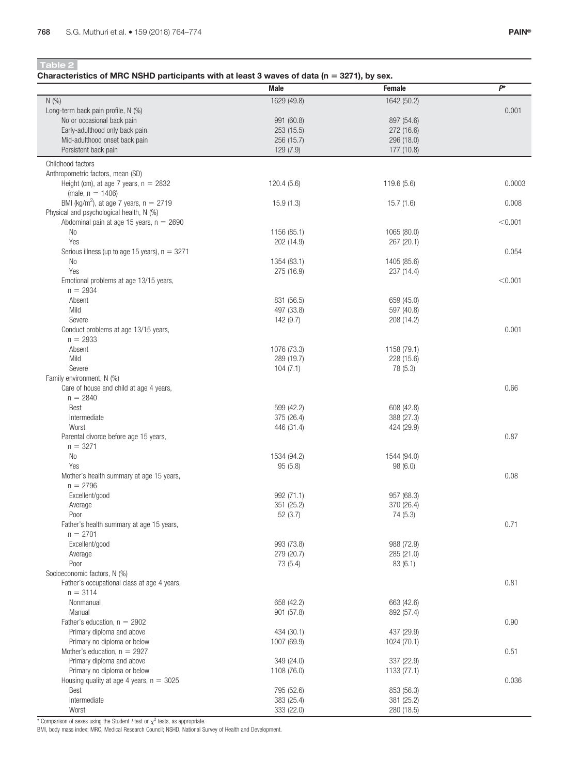Characteristics of MRC NSHD participants with at least 3 waves of data ( $n = 3271$ ), by sex.

|                                                             | <b>Male</b>             | <b>Female</b>            | $P^*$   |
|-------------------------------------------------------------|-------------------------|--------------------------|---------|
| N(%)                                                        | 1629 (49.8)             | 1642 (50.2)              |         |
| Long-term back pain profile, N (%)                          |                         |                          | 0.001   |
| No or occasional back pain                                  | 991 (60.8)              | 897 (54.6)               |         |
| Early-adulthood only back pain                              | 253 (15.5)              | 272 (16.6)               |         |
| Mid-adulthood onset back pain<br>Persistent back pain       | 256 (15.7)<br>129 (7.9) | 296 (18.0)<br>177 (10.8) |         |
|                                                             |                         |                          |         |
| Childhood factors<br>Anthropometric factors, mean (SD)      |                         |                          |         |
| Height (cm), at age 7 years, $n = 2832$                     | 120.4(5.6)              | 119.6 (5.6)              | 0.0003  |
| (male, $n = 1406$ )                                         |                         |                          |         |
| BMI (kg/m <sup>2</sup> ), at age 7 years, $n = 2719$        | 15.9(1.3)               | 15.7(1.6)                | 0.008   |
| Physical and psychological health, N (%)                    |                         |                          |         |
| Abdominal pain at age 15 years, $n = 2690$                  |                         |                          | < 0.001 |
| No                                                          | 1156 (85.1)             | 1065 (80.0)              |         |
| Yes<br>Serious illness (up to age 15 years), $n = 3271$     | 202 (14.9)              | 267 (20.1)               | 0.054   |
| No                                                          | 1354 (83.1)             | 1405 (85.6)              |         |
| Yes                                                         | 275 (16.9)              | 237 (14.4)               |         |
| Emotional problems at age 13/15 years,                      |                         |                          | < 0.001 |
| $n = 2934$                                                  |                         |                          |         |
| Absent                                                      | 831 (56.5)              | 659 (45.0)               |         |
| Mild                                                        | 497 (33.8)              | 597 (40.8)               |         |
| Severe                                                      | 142 (9.7)               | 208 (14.2)               |         |
| Conduct problems at age 13/15 years,                        |                         |                          | 0.001   |
| $n = 2933$<br>Absent                                        | 1076 (73.3)             | 1158 (79.1)              |         |
| Mild                                                        | 289 (19.7)              | 228 (15.6)               |         |
| Severe                                                      | 104(7.1)                | 78 (5.3)                 |         |
| Family environment, N (%)                                   |                         |                          |         |
| Care of house and child at age 4 years,                     |                         |                          | 0.66    |
| $n = 2840$                                                  |                         |                          |         |
| Best                                                        | 599 (42.2)              | 608 (42.8)               |         |
| Intermediate                                                | 375 (26.4)              | 388 (27.3)               |         |
| Worst                                                       | 446 (31.4)              | 424 (29.9)               |         |
| Parental divorce before age 15 years,<br>$n = 3271$         |                         |                          | 0.87    |
| No                                                          | 1534 (94.2)             | 1544 (94.0)              |         |
| Yes                                                         | 95(5.8)                 | 98(6.0)                  |         |
| Mother's health summary at age 15 years,                    |                         |                          | 0.08    |
| $n = 2796$                                                  |                         |                          |         |
| Excellent/good                                              | 992 (71.1)              | 957 (68.3)               |         |
| Average                                                     | 351 (25.2)              | 370 (26.4)               |         |
| Poor                                                        | 52(3.7)                 | 74 (5.3)                 |         |
| Father's health summary at age 15 years,<br>$n = 2701$      |                         |                          | 0.71    |
| Excellent/good                                              | 993 (73.8)              | 988 (72.9)               |         |
| Average                                                     | 279 (20.7)              | 285 (21.0)               |         |
| Poor                                                        | 73 (5.4)                | 83(6.1)                  |         |
| Socioeconomic factors, N (%)                                |                         |                          |         |
| Father's occupational class at age 4 years,                 |                         |                          | 0.81    |
| $n = 3114$                                                  |                         |                          |         |
| Nonmanual                                                   | 658 (42.2)              | 663 (42.6)               |         |
| Manual                                                      | 901 (57.8)              | 892 (57.4)               |         |
| Father's education, $n = 2902$<br>Primary diploma and above | 434 (30.1)              | 437 (29.9)               | 0.90    |
| Primary no diploma or below                                 | 1007 (69.9)             | 1024 (70.1)              |         |
| Mother's education, $n = 2927$                              |                         |                          | 0.51    |
| Primary diploma and above                                   | 349 (24.0)              | 337 (22.9)               |         |
| Primary no diploma or below                                 | 1108 (76.0)             | 1133 (77.1)              |         |
| Housing quality at age 4 years, $n = 3025$                  |                         |                          | 0.036   |
| Best                                                        | 795 (52.6)              | 853 (56.3)               |         |
| Intermediate                                                | 383 (25.4)              | 381 (25.2)               |         |
| Worst                                                       | 333 (22.0)              | 280 (18.5)               |         |

\* Comparison of sexes using the Student *t* test or  $\chi^2$  tests, as appropriate.<br>BMI, body mass index; MRC, Medical Research Council; NSHD, National Survey of Health and Development.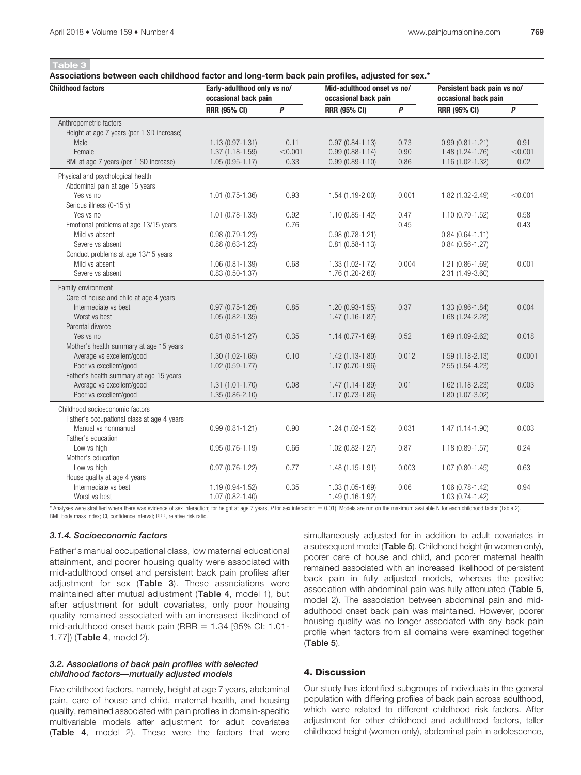Associations between each childhood factor and long-term back pain profiles, adjusted for sex.\*

| <b>Childhood factors</b>                   | Early-adulthood only vs no/<br>occasional back pain |              | Mid-adulthood onset vs no/<br>occasional back pain |                  | Persistent back pain vs no/<br>occasional back pain |         |
|--------------------------------------------|-----------------------------------------------------|--------------|----------------------------------------------------|------------------|-----------------------------------------------------|---------|
|                                            | <b>RRR (95% CI)</b>                                 | $\mathsf{P}$ | <b>RRR (95% CI)</b>                                | $\boldsymbol{P}$ | <b>RRR (95% CI)</b>                                 | P       |
| Anthropometric factors                     |                                                     |              |                                                    |                  |                                                     |         |
| Height at age 7 years (per 1 SD increase)  |                                                     |              |                                                    |                  |                                                     |         |
| Male                                       | $1.13(0.97 - 1.31)$                                 | 0.11         | $0.97(0.84 - 1.13)$                                | 0.73             | $0.99(0.81 - 1.21)$                                 | 0.91    |
| Female                                     | $1.37(1.18-1.59)$                                   | < 0.001      | $0.99(0.88 - 1.14)$                                | 0.90             | 1.48 (1.24-1.76)                                    | < 0.001 |
| BMI at age 7 years (per 1 SD increase)     | $1.05(0.95 - 1.17)$                                 | 0.33         | $0.99(0.89 - 1.10)$                                | 0.86             | $1.16(1.02 - 1.32)$                                 | 0.02    |
| Physical and psychological health          |                                                     |              |                                                    |                  |                                                     |         |
| Abdominal pain at age 15 years             |                                                     |              |                                                    |                  |                                                     |         |
| Yes vs no                                  | $1.01$ $(0.75 - 1.36)$                              | 0.93         | 1.54 (1.19-2.00)                                   | 0.001            | 1.82 (1.32-2.49)                                    | < 0.001 |
| Serious illness (0-15 y)                   |                                                     |              |                                                    |                  |                                                     |         |
| Yes vs no                                  | $1.01$ (0.78-1.33)                                  | 0.92         | $1.10(0.85 - 1.42)$                                | 0.47             | 1.10 (0.79-1.52)                                    | 0.58    |
| Emotional problems at age 13/15 years      |                                                     | 0.76         |                                                    | 0.45             |                                                     | 0.43    |
| Mild vs absent                             | $0.98(0.79-1.23)$                                   |              | $0.98(0.78 - 1.21)$                                |                  | $0.84(0.64 - 1.11)$                                 |         |
| Severe vs absent                           | $0.88(0.63 - 1.23)$                                 |              | $0.81$ (0.58-1.13)                                 |                  | $0.84(0.56 - 1.27)$                                 |         |
| Conduct problems at age 13/15 years        |                                                     |              |                                                    |                  |                                                     |         |
| Mild vs absent                             | $1.06(0.81 - 1.39)$                                 | 0.68         | 1.33 (1.02-1.72)                                   | 0.004            | 1.21 (0.86-1.69)                                    | 0.001   |
| Severe vs absent                           | $0.83(0.50-1.37)$                                   |              | 1.76 (1.20-2.60)                                   |                  | 2.31 (1.49-3.60)                                    |         |
| Family environment                         |                                                     |              |                                                    |                  |                                                     |         |
| Care of house and child at age 4 years     |                                                     |              |                                                    |                  |                                                     |         |
| Intermediate vs best                       | $0.97(0.75-1.26)$                                   | 0.85         | $1.20(0.93-1.55)$                                  | 0.37             | 1.33 (0.96-1.84)                                    | 0.004   |
| Worst vs best                              | $1.05(0.82 - 1.35)$                                 |              | $1.47(1.16-1.87)$                                  |                  | 1.68 (1.24-2.28)                                    |         |
| Parental divorce                           |                                                     |              |                                                    |                  |                                                     |         |
| Yes vs no                                  | $0.81$ $(0.51 - 1.27)$                              | 0.35         | $1.14(0.77 - 1.69)$                                | 0.52             | 1.69 (1.09-2.62)                                    | 0.018   |
| Mother's health summary at age 15 years    |                                                     |              |                                                    |                  |                                                     |         |
| Average vs excellent/good                  | $1.30(1.02 - 1.65)$                                 | 0.10         | $1.42(1.13-1.80)$                                  | 0.012            | $1.59(1.18 - 2.13)$                                 | 0.0001  |
| Poor vs excellent/good                     | $1.02(0.59-1.77)$                                   |              | $1.17(0.70-1.96)$                                  |                  | $2.55(1.54-4.23)$                                   |         |
| Father's health summary at age 15 years    |                                                     |              |                                                    |                  |                                                     |         |
| Average vs excellent/good                  | $1.31(1.01 - 1.70)$                                 | 0.08         | 1.47 (1.14-1.89)                                   | 0.01             | 1.62 (1.18-2.23)                                    | 0.003   |
| Poor vs excellent/good                     | $1.35(0.86 - 2.10)$                                 |              | $1.17(0.73-1.86)$                                  |                  | 1.80 (1.07-3.02)                                    |         |
| Childhood socioeconomic factors            |                                                     |              |                                                    |                  |                                                     |         |
| Father's occupational class at age 4 years |                                                     |              |                                                    |                  |                                                     |         |
| Manual vs nonmanual                        | $0.99(0.81 - 1.21)$                                 | 0.90         | 1.24 (1.02-1.52)                                   | 0.031            | 1.47 (1.14-1.90)                                    | 0.003   |
| Father's education                         |                                                     |              |                                                    |                  |                                                     |         |
| Low vs high                                | $0.95(0.76 - 1.19)$                                 | 0.66         | 1.02 (0.82-1.27)                                   | 0.87             | $1.18(0.89 - 1.57)$                                 | 0.24    |
| Mother's education                         |                                                     |              |                                                    |                  |                                                     |         |
| Low vs high                                | $0.97(0.76-1.22)$                                   | 0.77         | $1.48(1.15-1.91)$                                  | 0.003            | $1.07(0.80 - 1.45)$                                 | 0.63    |
| House quality at age 4 years               |                                                     |              |                                                    |                  |                                                     |         |
| Intermediate vs best                       | 1.19 (0.94-1.52)                                    | 0.35         | 1.33 (1.05-1.69)                                   | 0.06             | 1.06 (0.78-1.42)                                    | 0.94    |
| Worst vs best                              | 1.07 (0.82-1.40)                                    |              | 1.49 (1.16-1.92)                                   |                  | 1.03 (0.74-1.42)                                    |         |

\* Analyses were stratified where there was evidence of sex interaction; for height at age 7 years, P for sex interaction = 0.01). Models are run on the maximum available N for each childhood factor (Table 2). BMI, body mass index; CI, confidence interval; RRR, relative risk ratio.

#### 3.1.4. Socioeconomic factors

Father's manual occupational class, low maternal educational attainment, and poorer housing quality were associated with mid-adulthood onset and persistent back pain profiles after adjustment for sex (Table 3). These associations were maintained after mutual adjustment (Table 4, model 1), but after adjustment for adult covariates, only poor housing quality remained associated with an increased likelihood of mid-adulthood onset back pain (RRR =  $1.34$  [95% CI:  $1.01$ -1.77]) (Table 4, model 2).

#### 3.2. Associations of back pain profiles with selected childhood factors—mutually adjusted models

Five childhood factors, namely, height at age 7 years, abdominal pain, care of house and child, maternal health, and housing quality, remained associated with pain profiles in domain-specific multivariable models after adjustment for adult covariates (Table 4, model 2). These were the factors that were simultaneously adjusted for in addition to adult covariates in a subsequent model (Table 5). Childhood height (in women only), poorer care of house and child, and poorer maternal health remained associated with an increased likelihood of persistent back pain in fully adjusted models, whereas the positive association with abdominal pain was fully attenuated (Table 5, model 2). The association between abdominal pain and midadulthood onset back pain was maintained. However, poorer housing quality was no longer associated with any back pain profile when factors from all domains were examined together (Table 5).

### 4. Discussion

Our study has identified subgroups of individuals in the general population with differing profiles of back pain across adulthood, which were related to different childhood risk factors. After adjustment for other childhood and adulthood factors, taller childhood height (women only), abdominal pain in adolescence,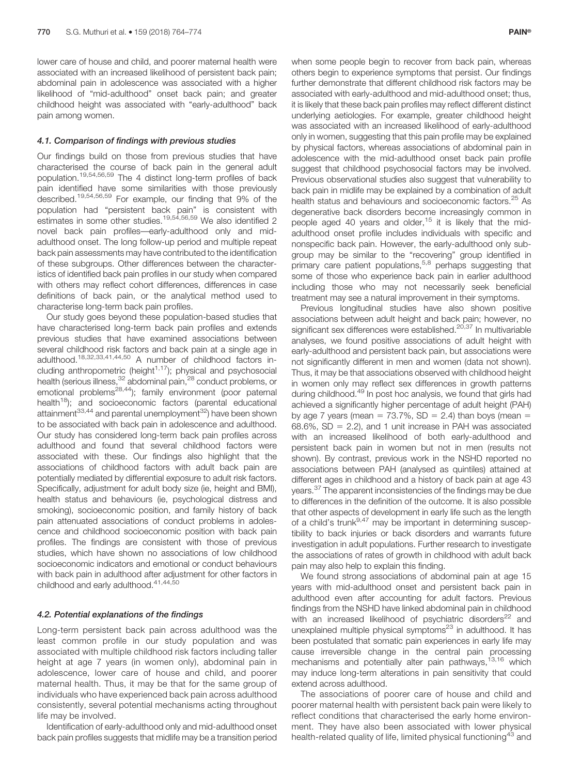lower care of house and child, and poorer maternal health were associated with an increased likelihood of persistent back pain; abdominal pain in adolescence was associated with a higher likelihood of "mid-adulthood" onset back pain; and greater childhood height was associated with "early-adulthood" back pain among women.

#### 4.1. Comparison of findings with previous studies

Our findings build on those from previous studies that have characterised the course of back pain in the general adult population.19,54,56,59 The 4 distinct long-term profiles of back pain identified have some similarities with those previously described.19,54,56,59 For example, our finding that 9% of the population had "persistent back pain" is consistent with estimates in some other studies.<sup>19,54,56,59</sup> We also identified 2 novel back pain profiles—early-adulthood only and midadulthood onset. The long follow-up period and multiple repeat back pain assessments may have contributed to the identification of these subgroups. Other differences between the characteristics of identified back pain profiles in our study when compared with others may reflect cohort differences, differences in case definitions of back pain, or the analytical method used to characterise long-term back pain profiles.

Our study goes beyond these population-based studies that have characterised long-term back pain profiles and extends previous studies that have examined associations between several childhood risk factors and back pain at a single age in adulthood.18,32,33,41,44,50 A number of childhood factors including anthropometric (height $1,17$ ); physical and psychosocial health (serious illness, <sup>32</sup> abdominal pain, <sup>28</sup> conduct problems, or emotional problems28,44); family environment (poor paternal health<sup>18</sup>); and socioeconomic factors (parental educational attainment $33,44$  and parental unemployment $32$ ) have been shown to be associated with back pain in adolescence and adulthood. Our study has considered long-term back pain profiles across adulthood and found that several childhood factors were associated with these. Our findings also highlight that the associations of childhood factors with adult back pain are potentially mediated by differential exposure to adult risk factors. Specifically, adjustment for adult body size (ie, height and BMI), health status and behaviours (ie, psychological distress and smoking), socioeconomic position, and family history of back pain attenuated associations of conduct problems in adolescence and childhood socioeconomic position with back pain profiles. The findings are consistent with those of previous studies, which have shown no associations of low childhood socioeconomic indicators and emotional or conduct behaviours with back pain in adulthood after adjustment for other factors in childhood and early adulthood.<sup>41,44,50</sup>

#### 4.2. Potential explanations of the findings

Long-term persistent back pain across adulthood was the least common profile in our study population and was associated with multiple childhood risk factors including taller height at age 7 years (in women only), abdominal pain in adolescence, lower care of house and child, and poorer maternal health. Thus, it may be that for the same group of individuals who have experienced back pain across adulthood consistently, several potential mechanisms acting throughout life may be involved.

Identification of early-adulthood only and mid-adulthood onset back pain profiles suggests that midlife may be a transition period

when some people begin to recover from back pain, whereas others begin to experience symptoms that persist. Our findings further demonstrate that different childhood risk factors may be associated with early-adulthood and mid-adulthood onset; thus, it is likely that these back pain profiles may reflect different distinct underlying aetiologies. For example, greater childhood height was associated with an increased likelihood of early-adulthood only in women, suggesting that this pain profile may be explained by physical factors, whereas associations of abdominal pain in adolescence with the mid-adulthood onset back pain profile suggest that childhood psychosocial factors may be involved. Previous observational studies also suggest that vulnerability to back pain in midlife may be explained by a combination of adult health status and behaviours and socioeconomic factors.<sup>25</sup> As degenerative back disorders become increasingly common in people aged 40 years and older,<sup>15</sup> it is likely that the midadulthood onset profile includes individuals with specific and nonspecific back pain. However, the early-adulthood only subgroup may be similar to the "recovering" group identified in primary care patient populations,  $5.8$  perhaps suggesting that some of those who experience back pain in earlier adulthood including those who may not necessarily seek beneficial treatment may see a natural improvement in their symptoms.

Previous longitudinal studies have also shown positive associations between adult height and back pain; however, no significant sex differences were established.<sup>20,37</sup> In multivariable analyses, we found positive associations of adult height with early-adulthood and persistent back pain, but associations were not significantly different in men and women (data not shown). Thus, it may be that associations observed with childhood height in women only may reflect sex differences in growth patterns during childhood.<sup>49</sup> In post hoc analysis, we found that girls had achieved a significantly higher percentage of adult height (PAH) by age 7 years (mean =  $73.7\%$ , SD = 2.4) than boys (mean = 68.6%,  $SD = 2.2$ ), and 1 unit increase in PAH was associated with an increased likelihood of both early-adulthood and persistent back pain in women but not in men (results not shown). By contrast, previous work in the NSHD reported no associations between PAH (analysed as quintiles) attained at different ages in childhood and a history of back pain at age 43 years.<sup>37</sup> The apparent inconsistencies of the findings may be due to differences in the definition of the outcome. It is also possible that other aspects of development in early life such as the length of a child's trunk<sup>9,47</sup> may be important in determining susceptibility to back injuries or back disorders and warrants future investigation in adult populations. Further research to investigate the associations of rates of growth in childhood with adult back pain may also help to explain this finding.

We found strong associations of abdominal pain at age 15 years with mid-adulthood onset and persistent back pain in adulthood even after accounting for adult factors. Previous findings from the NSHD have linked abdominal pain in childhood with an increased likelihood of psychiatric disorders<sup>22</sup> and unexplained multiple physical symptoms<sup>23</sup> in adulthood. It has been postulated that somatic pain experiences in early life may cause irreversible change in the central pain processing mechanisms and potentially alter pain pathways,<sup>13,16</sup> which may induce long-term alterations in pain sensitivity that could extend across adulthood.

The associations of poorer care of house and child and poorer maternal health with persistent back pain were likely to reflect conditions that characterised the early home environment. They have also been associated with lower physical health-related quality of life, limited physical functioning<sup>43</sup> and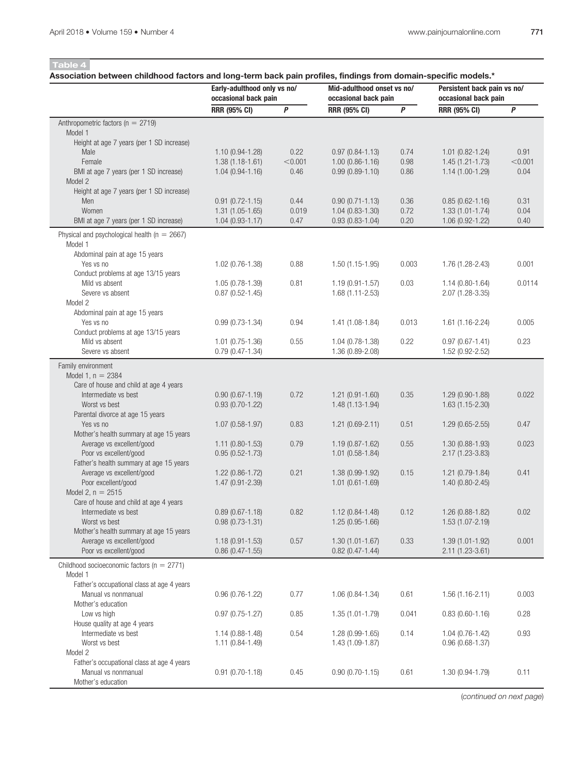### Association between childhood factors and long-term back pain profiles, findings from domain-specific models.\*

|                                                                      | Early-adulthood only vs no/<br>occasional back pain |         | Mid-adulthood onset vs no/<br>occasional back pain |       | Persistent back pain vs no/<br>occasional back pain |         |
|----------------------------------------------------------------------|-----------------------------------------------------|---------|----------------------------------------------------|-------|-----------------------------------------------------|---------|
|                                                                      | <b>RRR (95% CI)</b>                                 | P       | <b>RRR (95% CI)</b>                                | P     | <b>RRR (95% CI)</b>                                 | P       |
| Anthropometric factors ( $n = 2719$ )                                |                                                     |         |                                                    |       |                                                     |         |
| Model 1                                                              |                                                     |         |                                                    |       |                                                     |         |
| Height at age 7 years (per 1 SD increase)                            |                                                     |         |                                                    |       |                                                     |         |
| Male                                                                 | $1.10(0.94-1.28)$                                   | 0.22    | $0.97(0.84 - 1.13)$                                | 0.74  | $1.01$ $(0.82 - 1.24)$                              | 0.91    |
| Female                                                               | $1.38(1.18-1.61)$                                   | < 0.001 | $1.00(0.86 - 1.16)$                                | 0.98  | $1.45(1.21 - 1.73)$                                 | < 0.001 |
| BMI at age 7 years (per 1 SD increase)<br>Model 2                    | $1.04(0.94-1.16)$                                   | 0.46    | $0.99(0.89 - 1.10)$                                | 0.86  | $1.14(1.00-1.29)$                                   | 0.04    |
| Height at age 7 years (per 1 SD increase)                            |                                                     |         |                                                    |       |                                                     |         |
| Men                                                                  | $0.91(0.72 - 1.15)$                                 | 0.44    | $0.90(0.71 - 1.13)$                                | 0.36  | $0.85(0.62 - 1.16)$                                 | 0.31    |
| Women                                                                | $1.31(1.05-1.65)$                                   | 0.019   | $1.04(0.83 - 1.30)$                                | 0.72  | $1.33(1.01 - 1.74)$                                 | 0.04    |
| BMI at age 7 years (per 1 SD increase)                               | $1.04(0.93 - 1.17)$                                 | 0.47    | $0.93(0.83 - 1.04)$                                | 0.20  | 1.06 (0.92-1.22)                                    | 0.40    |
| Physical and psychological health ( $n = 2667$ )                     |                                                     |         |                                                    |       |                                                     |         |
| Model 1                                                              |                                                     |         |                                                    |       |                                                     |         |
| Abdominal pain at age 15 years                                       |                                                     |         |                                                    |       |                                                     |         |
| Yes vs no                                                            | $1.02(0.76-1.38)$                                   | 0.88    | $1.50(1.15-1.95)$                                  | 0.003 | $1.76(1.28-2.43)$                                   | 0.001   |
| Conduct problems at age 13/15 years                                  |                                                     |         |                                                    |       |                                                     |         |
| Mild vs absent                                                       | 1.05 (0.78-1.39)                                    | 0.81    | $1.19(0.91 - 1.57)$                                | 0.03  | $1.14(0.80 - 1.64)$                                 | 0.0114  |
| Severe vs absent                                                     | $0.87$ (0.52-1.45)                                  |         | $1.68(1.11 - 2.53)$                                |       | 2.07 (1.28-3.35)                                    |         |
| Model 2                                                              |                                                     |         |                                                    |       |                                                     |         |
| Abdominal pain at age 15 years<br>Yes vs no                          | $0.99(0.73 - 1.34)$                                 | 0.94    | $1.41(1.08-1.84)$                                  | 0.013 | $1.61(1.16-2.24)$                                   | 0.005   |
| Conduct problems at age 13/15 years                                  |                                                     |         |                                                    |       |                                                     |         |
| Mild vs absent                                                       | $1.01$ (0.75-1.36)                                  | 0.55    | $1.04(0.78-1.38)$                                  | 0.22  | $0.97(0.67 - 1.41)$                                 | 0.23    |
| Severe vs absent                                                     | $0.79(0.47 - 1.34)$                                 |         | 1.36 (0.89-2.08)                                   |       | 1.52 (0.92-2.52)                                    |         |
| Family environment                                                   |                                                     |         |                                                    |       |                                                     |         |
| Model 1, $n = 2384$                                                  |                                                     |         |                                                    |       |                                                     |         |
| Care of house and child at age 4 years                               |                                                     |         |                                                    |       |                                                     |         |
| Intermediate vs best                                                 | $0.90(0.67 - 1.19)$                                 | 0.72    | $1.21(0.91 - 1.60)$                                | 0.35  | $1.29(0.90-1.88)$                                   | 0.022   |
| Worst vs best                                                        | $0.93(0.70-1.22)$                                   |         | 1.48 (1.13-1.94)                                   |       | $1.63(1.15-2.30)$                                   |         |
| Parental divorce at age 15 years                                     |                                                     |         |                                                    |       |                                                     |         |
| Yes vs no                                                            | $1.07(0.58-1.97)$                                   | 0.83    | $1.21(0.69-2.11)$                                  | 0.51  | $1.29(0.65 - 2.55)$                                 | 0.47    |
| Mother's health summary at age 15 years                              |                                                     |         |                                                    |       |                                                     |         |
| Average vs excellent/good<br>Poor vs excellent/good                  | $1.11$ (0.80-1.53)<br>$0.95(0.52 - 1.73)$           | 0.79    | $1.19(0.87 - 1.62)$<br>$1.01(0.58-1.84)$           | 0.55  | 1.30 (0.88-1.93)<br>2.17 (1.23-3.83)                | 0.023   |
| Father's health summary at age 15 years                              |                                                     |         |                                                    |       |                                                     |         |
| Average vs excellent/good                                            | $1.22(0.86-1.72)$                                   | 0.21    | 1.38 (0.99-1.92)                                   | 0.15  | $1.21(0.79-1.84)$                                   | 0.41    |
| Poor excellent/good                                                  | 1.47 (0.91-2.39)                                    |         | $1.01(0.61 - 1.69)$                                |       | $1.40(0.80 - 2.45)$                                 |         |
| Model 2, $n = 2515$                                                  |                                                     |         |                                                    |       |                                                     |         |
| Care of house and child at age 4 years                               |                                                     |         |                                                    |       |                                                     |         |
| Intermediate vs best                                                 | $0.89(0.67 - 1.18)$                                 | 0.82    | $1.12(0.84 - 1.48)$                                | 0.12  | $1.26(0.88-1.82)$                                   | 0.02    |
| Worst vs best                                                        | $0.98(0.73 - 1.31)$                                 |         | 1.25 (0.95-1.66)                                   |       | 1.53 (1.07-2.19)                                    |         |
| Mother's health summary at age 15 years<br>Average vs excellent/good |                                                     | 0.57    | $1.30(1.01 - 1.67)$                                | 0.33  |                                                     | 0.001   |
| Poor vs excellent/good                                               | $1.18(0.91 - 1.53)$<br>$0.86$ (0.47-1.55)           |         | $0.82$ (0.47-1.44)                                 |       | $1.39(1.01 - 1.92)$<br>2.11 (1.23-3.61)             |         |
|                                                                      |                                                     |         |                                                    |       |                                                     |         |
| Childhood socioeconomic factors ( $n = 2771$ )                       |                                                     |         |                                                    |       |                                                     |         |
| Model 1<br>Father's occupational class at age 4 years                |                                                     |         |                                                    |       |                                                     |         |
| Manual vs nonmanual                                                  | $0.96(0.76-1.22)$                                   | 0.77    | $1.06(0.84-1.34)$                                  | 0.61  | $1.56(1.16-2.11)$                                   | 0.003   |
| Mother's education                                                   |                                                     |         |                                                    |       |                                                     |         |
| Low vs high                                                          | $0.97(0.75-1.27)$                                   | 0.85    | $1.35(1.01 - 1.79)$                                | 0.041 | $0.83$ (0.60-1.16)                                  | 0.28    |
| House quality at age 4 years                                         |                                                     |         |                                                    |       |                                                     |         |
| Intermediate vs best                                                 | $1.14(0.88-1.48)$                                   | 0.54    | 1.28 (0.99-1.65)                                   | 0.14  | $1.04(0.76 - 1.42)$                                 | 0.93    |
| Worst vs best                                                        | $1.11(0.84-1.49)$                                   |         | $1.43(1.09-1.87)$                                  |       | $0.96(0.68-1.37)$                                   |         |
| Model 2                                                              |                                                     |         |                                                    |       |                                                     |         |
| Father's occupational class at age 4 years                           |                                                     |         |                                                    |       |                                                     |         |
| Manual vs nonmanual<br>Mother's education                            | $0.91(0.70-1.18)$                                   | 0.45    | $0.90(0.70-1.15)$                                  | 0.61  | $1.30(0.94-1.79)$                                   | 0.11    |
|                                                                      |                                                     |         |                                                    |       |                                                     |         |

(continued on next page)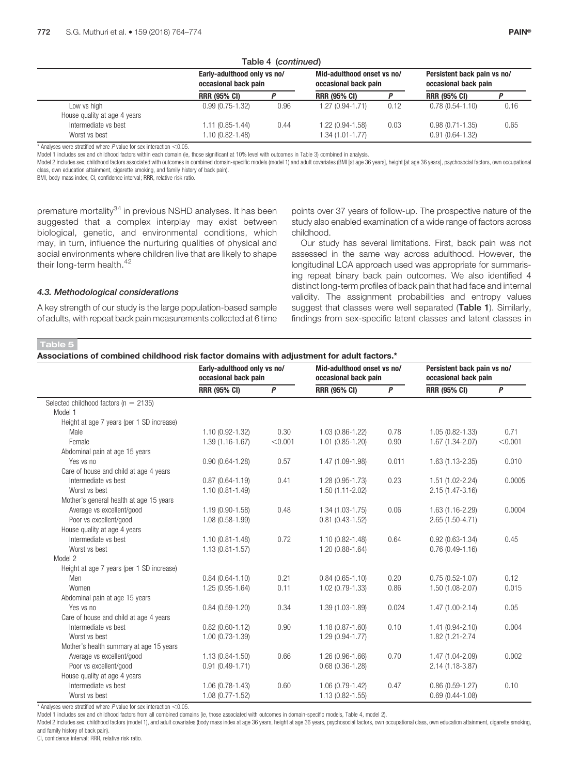|                                             | Table 4 (Continued)<br>Early-adulthood only vs no/<br>occasional back pain |      | Mid-adulthood onset vs no/<br>occasional back pain |      | Persistent back pain vs no/<br>occasional back pain |      |
|---------------------------------------------|----------------------------------------------------------------------------|------|----------------------------------------------------|------|-----------------------------------------------------|------|
|                                             | <b>RRR (95% CI)</b>                                                        |      | <b>RRR (95% CI)</b>                                |      | <b>RRR (95% CI)</b>                                 |      |
| Low vs high<br>House quality at age 4 years | $0.99(0.75-1.32)$                                                          | 0.96 | 1.27 (0.94-1.71)                                   | 0.12 | $0.78(0.54-1.10)$                                   | 0.16 |
| Intermediate vs best<br>Worst vs best       | $1.11(0.85-1.44)$<br>1.10 (0.82-1.48)                                      | 0.44 | 1.22 (0.94-1.58)<br>1.34 (1.01-1.77)               | 0.03 | $0.98(0.71 - 1.35)$<br>$0.91(0.64-1.32)$            | 0.65 |

 $Table 4$  (continued)

 $*$  Analyses were stratified where  $P$  value for sex interaction  $<$  0.05.

Model 1 includes sex and childhood factors within each domain (ie, those significant at 10% level with outcomes in Table 3) combined in analysis.

Model 2 includes sex, childhood factors associated with outcomes in combined domain-specific models (model 1) and adult covariates (BMI [at age 36 years], height [at age 36 years], psychosocial factors, own occupational class, own education attainment, cigarette smoking, and family history of back pain).

BMI, body mass index; CI, confidence interval; RRR, relative risk ratio.

premature mortality<sup>34</sup> in previous NSHD analyses. It has been suggested that a complex interplay may exist between biological, genetic, and environmental conditions, which may, in turn, influence the nurturing qualities of physical and social environments where children live that are likely to shape their long-term health.<sup>42</sup>

points over 37 years of follow-up. The prospective nature of the study also enabled examination of a wide range of factors across childhood.

Our study has several limitations. First, back pain was not assessed in the same way across adulthood. However, the longitudinal LCA approach used was appropriate for summarising repeat binary back pain outcomes. We also identified 4 distinct long-term profiles of back pain that had face and internal validity. The assignment probabilities and entropy values suggest that classes were well separated (Table 1). Similarly, findings from sex-specific latent classes and latent classes in

4.3. Methodological considerations

A key strength of our study is the large population-based sample of adults, with repeat back pain measurements collected at 6 time

# Table 5

Associations of combined childhood risk factor domains with adjustment for adult factors.\*

|                                           | Early-adulthood only vs no/<br>occasional back pain |              | Mid-adulthood onset vs no/<br>occasional back pain |       | Persistent back pain vs no/<br>occasional back pain |         |
|-------------------------------------------|-----------------------------------------------------|--------------|----------------------------------------------------|-------|-----------------------------------------------------|---------|
|                                           | <b>RRR (95% CI)</b>                                 | $\mathsf{P}$ | <b>RRR (95% CI)</b>                                | P     | <b>RRR (95% CI)</b>                                 | P       |
| Selected childhood factors ( $n = 2135$ ) |                                                     |              |                                                    |       |                                                     |         |
| Model 1                                   |                                                     |              |                                                    |       |                                                     |         |
| Height at age 7 years (per 1 SD increase) |                                                     |              |                                                    |       |                                                     |         |
| Male                                      | 1.10 (0.92-1.32)                                    | 0.30         | $1.03(0.86 - 1.22)$                                | 0.78  | $1.05(0.82 - 1.33)$                                 | 0.71    |
| Female                                    | $1.39(1.16-1.67)$                                   | < 0.001      | $1.01(0.85 - 1.20)$                                | 0.90  | 1.67 (1.34-2.07)                                    | < 0.001 |
| Abdominal pain at age 15 years            |                                                     |              |                                                    |       |                                                     |         |
| Yes vs no                                 | $0.90(0.64 - 1.28)$                                 | 0.57         | 1.47 (1.09-1.98)                                   | 0.011 | $1.63(1.13 - 2.35)$                                 | 0.010   |
| Care of house and child at age 4 years    |                                                     |              |                                                    |       |                                                     |         |
| Intermediate vs best                      | $0.87(0.64 - 1.19)$                                 | 0.41         | $1.28(0.95 - 1.73)$                                | 0.23  | $1.51(1.02 - 2.24)$                                 | 0.0005  |
| Worst vs best                             | $1.10(0.81 - 1.49)$                                 |              | $1.50(1.11 - 2.02)$                                |       | 2.15 (1.47-3.16)                                    |         |
| Mother's general health at age 15 years   |                                                     |              |                                                    |       |                                                     |         |
| Average vs excellent/good                 | 1.19 (0.90-1.58)                                    | 0.48         | $1.34(1.03-1.75)$                                  | 0.06  | $1.63(1.16-2.29)$                                   | 0.0004  |
| Poor vs excellent/good                    | 1.08 (0.58-1.99)                                    |              | $0.81(0.43-1.52)$                                  |       | $2.65(1.50-4.71)$                                   |         |
| House quality at age 4 years              |                                                     |              |                                                    |       |                                                     |         |
| Intermediate vs best                      | $1.10(0.81 - 1.48)$                                 | 0.72         | $1.10(0.82 - 1.48)$                                | 0.64  | $0.92(0.63 - 1.34)$                                 | 0.45    |
| Worst vs best                             | $1.13(0.81 - 1.57)$                                 |              | $1.20(0.88-1.64)$                                  |       | $0.76(0.49-1.16)$                                   |         |
| Model 2                                   |                                                     |              |                                                    |       |                                                     |         |
| Height at age 7 years (per 1 SD increase) |                                                     |              |                                                    |       |                                                     |         |
| Men                                       | $0.84(0.64 - 1.10)$                                 | 0.21         | $0.84(0.65 - 1.10)$                                | 0.20  | $0.75(0.52 - 1.07)$                                 | 0.12    |
| Women                                     | 1.25 (0.95-1.64)                                    | 0.11         | $1.02(0.79-1.33)$                                  | 0.86  | 1.50 (1.08-2.07)                                    | 0.015   |
| Abdominal pain at age 15 years            |                                                     |              |                                                    |       |                                                     |         |
| Yes vs no                                 | $0.84(0.59-1.20)$                                   | 0.34         | $1.39(1.03 - 1.89)$                                | 0.024 | $1.47(1.00-2.14)$                                   | 0.05    |
| Care of house and child at age 4 years    |                                                     |              |                                                    |       |                                                     |         |
| Intermediate vs best                      | $0.82(0.60-1.12)$                                   | 0.90         | $1.18(0.87 - 1.60)$                                | 0.10  | $1.41(0.94 - 2.10)$                                 | 0.004   |
| Worst vs best                             | $1.00(0.73-1.39)$                                   |              | $1.29(0.94 - 1.77)$                                |       | 1.82 (1.21-2.74                                     |         |
| Mother's health summary at age 15 years   |                                                     |              |                                                    |       |                                                     |         |
| Average vs excellent/good                 | $1.13(0.84-1.50)$                                   | 0.66         | $1.26(0.96-1.66)$                                  | 0.70  | 1.47 (1.04-2.09)                                    | 0.002   |
| Poor vs excellent/good                    | $0.91(0.49-1.71)$                                   |              | $0.68(0.36-1.28)$                                  |       | 2.14 (1.18-3.87)                                    |         |
| House quality at age 4 years              |                                                     |              |                                                    |       |                                                     |         |
| Intermediate vs best                      | $1.06(0.78-1.43)$                                   | 0.60         | $1.06(0.79-1.42)$                                  | 0.47  | $0.86(0.59-1.27)$                                   | 0.10    |
| Worst vs best                             | $1.08(0.77 - 1.52)$                                 |              | $1.13(0.82 - 1.55)$                                |       | $0.69(0.44-1.08)$                                   |         |

\* Analyses were stratified where  $P$  value for sex interaction  $<$  0.05.

Model 1 includes sex and childhood factors from all combined domains (ie, those associated with outcomes in domain-specific models, Table 4, model 2).

Model 2 includes sex, childhood factors (model 1), and adult covariates (body mass index at age 36 years, height at age 36 years, psychosocial factors, own occupational class, own education attainment, cigarette smoking, and family history of back pain).

CI, confidence interval; RRR, relative risk ratio.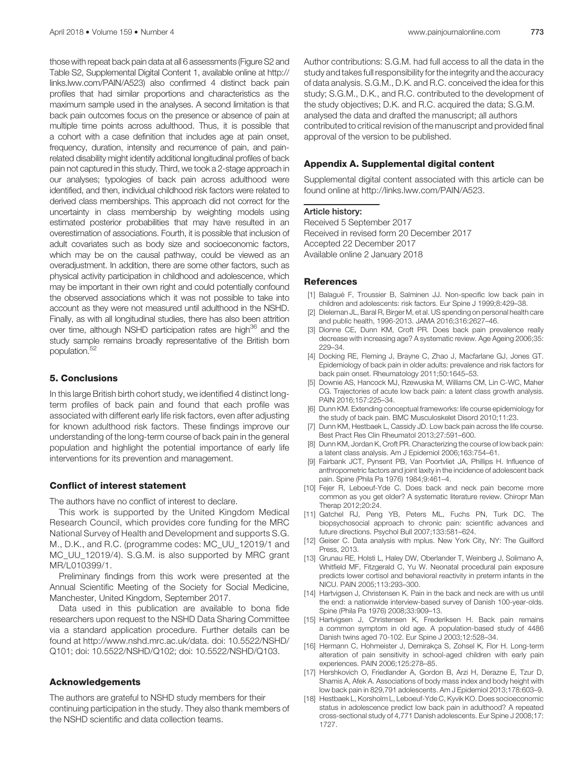those with repeat back pain data at all 6 assessments (Figure S2 and Table S2, Supplemental Digital Content 1, available online at [http://](http://links.lww.com/PAIN/A523) [links.lww.com/PAIN/A523](http://links.lww.com/PAIN/A523)) also confirmed 4 distinct back pain profiles that had similar proportions and characteristics as the maximum sample used in the analyses. A second limitation is that back pain outcomes focus on the presence or absence of pain at multiple time points across adulthood. Thus, it is possible that a cohort with a case definition that includes age at pain onset, frequency, duration, intensity and recurrence of pain, and painrelated disability might identify additional longitudinal profiles of back pain not captured in this study. Third, we took a 2-stage approach in our analyses; typologies of back pain across adulthood were identified, and then, individual childhood risk factors were related to derived class memberships. This approach did not correct for the uncertainty in class membership by weighting models using estimated posterior probabilities that may have resulted in an overestimation of associations. Fourth, it is possible that inclusion of adult covariates such as body size and socioeconomic factors, which may be on the causal pathway, could be viewed as an overadjustment. In addition, there are some other factors, such as physical activity participation in childhood and adolescence, which may be important in their own right and could potentially confound the observed associations which it was not possible to take into account as they were not measured until adulthood in the NSHD. Finally, as with all longitudinal studies, there has also been attrition over time, although NSHD participation rates are high<sup>36</sup> and the study sample remains broadly representative of the British born population.<sup>52</sup>

# 5. Conclusions

In this large British birth cohort study, we identified 4 distinct longterm profiles of back pain and found that each profile was associated with different early life risk factors, even after adjusting for known adulthood risk factors. These findings improve our understanding of the long-term course of back pain in the general population and highlight the potential importance of early life interventions for its prevention and management.

#### Conflict of interest statement

The authors have no conflict of interest to declare.

This work is supported by the United Kingdom Medical Research Council, which provides core funding for the MRC National Survey of Health and Development and supports S.G. M., D.K., and R.C. (programme codes: MC\_UU\_12019/1 and MC\_UU\_12019/4). S.G.M. is also supported by MRC grant MR/L010399/1.

Preliminary findings from this work were presented at the Annual Scientific Meeting of the Society for Social Medicine, Manchester, United Kingdom, September 2017.

Data used in this publication are available to bona fide researchers upon request to the NSHD Data Sharing Committee via a standard application procedure. Further details can be found at [http://www.nshd.mrc.ac.uk/data.](http://www.nshd.mrc.ac.uk/data) [doi: 10.5522/NSHD/](http://doi:%2010.5522/NSHD/Q101) [Q101](http://doi:%2010.5522/NSHD/Q101); [doi: 10.5522/NSHD/Q102](http://doi:%2010.5522/NSHD/Q102); [doi: 10.5522/NSHD/Q103.](http://doi:%2010.5522/NSHD/Q103)

#### Acknowledgements

The authors are grateful to NSHD study members for their continuing participation in the study. They also thank members of the NSHD scientific and data collection teams.

Author contributions: S.G.M. had full access to all the data in the study and takes full responsibility for the integrity and the accuracy of data analysis. S.G.M., D.K. and R.C. conceived the idea for this study; S.G.M., D.K., and R.C. contributed to the development of the study objectives; D.K. and R.C. acquired the data; S.G.M. analysed the data and drafted the manuscript; all authors contributed to critical revision of the manuscript and provided final approval of the version to be published.

#### Appendix A. Supplemental digital content

Supplemental digital content associated with this article can be found online at<http://links.lww.com/PAIN/A523>.

Received 5 September 2017 Received in revised form 20 December 2017 Accepted 22 December 2017 Available online 2 January 2018

#### References

- [1] Balagué F, Troussier B, Salminen JJ. Non-specific low back pain in children and adolescents: risk factors. Eur Spine J 1999;8:429–38.
- Dieleman JL, Baral R, Birger M, et al. US spending on personal health care and public health, 1996-2013. JAMA 2016;316:2627–46.
- [3] Dionne CE, Dunn KM, Croft PR. Does back pain prevalence really decrease with increasing age? A systematic review. Age Ageing 2006;35: 229–34.
- [4] Docking RE, Fleming J, Brayne C, Zhao J, Macfarlane GJ, Jones GT. Epidemiology of back pain in older adults: prevalence and risk factors for back pain onset. Rheumatology 2011;50:1645–53.
- [5] Downie AS, Hancock MJ, Rzewuska M, Williams CM, Lin C-WC, Maher CG. Trajectories of acute low back pain: a latent class growth analysis. PAIN 2016;157:225–34.
- [6] Dunn KM. Extending conceptual frameworks: life course epidemiology for the study of back pain. BMC Musculoskelet Disord 2010;11:23.
- [7] Dunn KM, Hestbaek L, Cassidy JD. Low back pain across the life course. Best Pract Res Clin Rheumatol 2013;27:591–600.
- [8] Dunn KM, Jordan K, Croft PR. Characterizing the course of low back pain: a latent class analysis. Am J Epidemiol 2006;163:754–61.
- Fairbank JCT, Pynsent PB, Van Poortvliet JA, Phillips H. Influence of anthropometric factors and joint laxity in the incidence of adolescent back pain. Spine (Phila Pa 1976) 1984;9:461–4.
- [10] Fejer R, Leboeuf-Yde C. Does back and neck pain become more common as you get older? A systematic literature review. Chiropr Man Therap 2012;20:24.
- [11] Gatchel RJ, Peng YB, Peters ML, Fuchs PN, Turk DC. The biopsychosocial approach to chronic pain: scientific advances and future directions. Psychol Bull 2007;133:581–624.
- [12] Geiser C. Data analysis with mplus. New York City, NY: The Guilford Press, 2013.
- [13] Grunau RE, Holsti L, Haley DW, Oberlander T, Weinberg J, Solimano A, Whitfield MF, Fitzgerald C, Yu W. Neonatal procedural pain exposure predicts lower cortisol and behavioral reactivity in preterm infants in the NICU. PAIN 2005;113:293–300.
- [14] Hartvigsen J, Christensen K. Pain in the back and neck are with us until the end: a nationwide interview-based survey of Danish 100-year-olds. Spine (Phila Pa 1976) 2008;33:909–13.
- [15] Hartvigsen J, Christensen K, Frederiksen H. Back pain remains a common symptom in old age. A population-based study of 4486 Danish twins aged 70-102. Eur Spine J 2003;12:528–34.
- [16] Hermann C, Hohmeister J, Demirakça S, Zohsel K, Flor H. Long-term alteration of pain sensitivity in school-aged children with early pain experiences. PAIN 2006;125:278–85.
- [17] Hershkovich O, Friedlander A, Gordon B, Arzi H, Derazne E, Tzur D, Shamis A, Afek A. Associations of body mass index and body height with low back pain in 829,791 adolescents. Am J Epidemiol 2013;178:603–9.
- [18] Hestbaek L, Korsholm L, Leboeuf-Yde C, Kyvik KO. Does socioeconomic status in adolescence predict low back pain in adulthood? A repeated cross-sectional study of 4,771 Danish adolescents. Eur Spine J 2008;17: 1727.